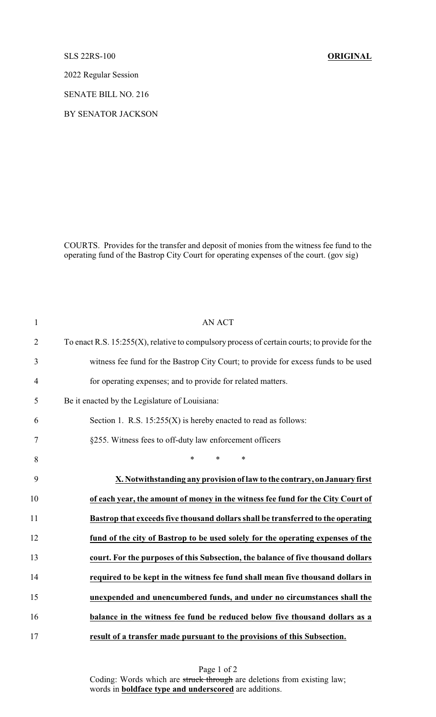SLS 22RS-100 **ORIGINAL**

2022 Regular Session

SENATE BILL NO. 216

BY SENATOR JACKSON

COURTS. Provides for the transfer and deposit of monies from the witness fee fund to the operating fund of the Bastrop City Court for operating expenses of the court. (gov sig)

| 1              | <b>AN ACT</b>                                                                                    |
|----------------|--------------------------------------------------------------------------------------------------|
| $\overline{2}$ | To enact R.S. $15:255(X)$ , relative to compulsory process of certain courts; to provide for the |
| 3              | witness fee fund for the Bastrop City Court; to provide for excess funds to be used              |
| $\overline{4}$ | for operating expenses; and to provide for related matters.                                      |
| 5              | Be it enacted by the Legislature of Louisiana:                                                   |
| 6              | Section 1. R.S. $15:255(X)$ is hereby enacted to read as follows:                                |
| 7              | §255. Witness fees to off-duty law enforcement officers                                          |
| 8              | $\ast$<br>$\ast$<br>$\ast$                                                                       |
| 9              | X. Notwithstanding any provision of law to the contrary, on January first                        |
| 10             | of each year, the amount of money in the witness fee fund for the City Court of                  |
| 11             | Bastrop that exceeds five thousand dollars shall be transferred to the operating                 |
| 12             | fund of the city of Bastrop to be used solely for the operating expenses of the                  |
| 13             | court. For the purposes of this Subsection, the balance of five thousand dollars                 |
| 14             | required to be kept in the witness fee fund shall mean five thousand dollars in                  |
| 15             | unexpended and unencumbered funds, and under no circumstances shall the                          |
| 16             | balance in the witness fee fund be reduced below five thousand dollars as a                      |
| 17             | result of a transfer made pursuant to the provisions of this Subsection.                         |

Page 1 of 2 Coding: Words which are struck through are deletions from existing law; words in **boldface type and underscored** are additions.